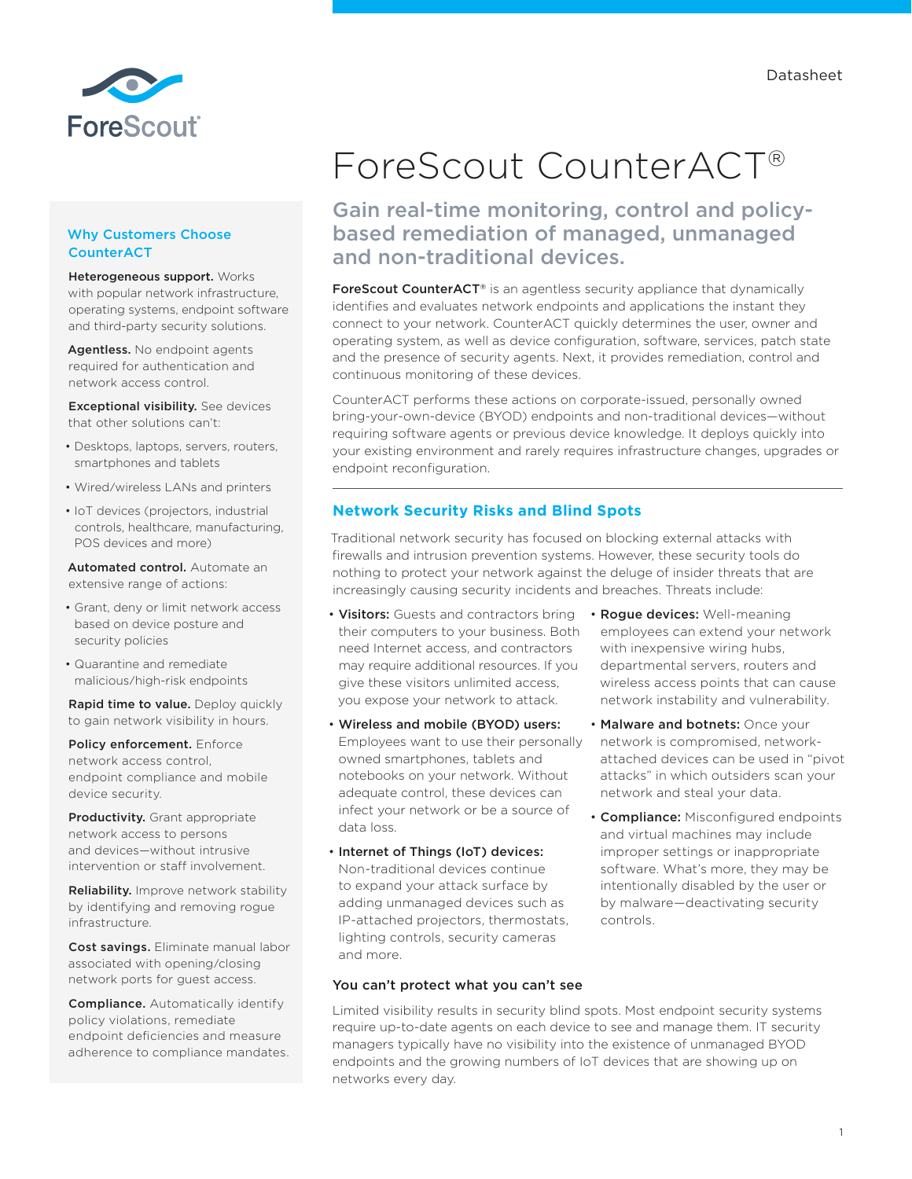

## Why Customers Choose **CounterACT**

Heterogeneous support. Works with popular network infrastructure, operating systems, endpoint software and third-party security solutions.

Agentless. No endpoint agents required for authentication and network access control.

Exceptional visibility. See devices that other solutions can't:

- Desktops, laptops, servers, routers, smartphones and tablets
- Wired/wireless LANs and printers
- IoT devices (projectors, industrial controls, healthcare, manufacturing, POS devices and more)

Automated control. Automate an extensive range of actions:

- Grant, deny or limit network access based on device posture and security policies
- Quarantine and remediate malicious/high-risk endpoints

Rapid time to value. Deploy quickly to gain network visibility in hours.

Policy enforcement. Enforce network access control, endpoint compliance and mobile device security.

Productivity. Grant appropriate network access to persons and devices—without intrusive intervention or staff involvement.

Reliability. Improve network stability by identifying and removing rogue infrastructure.

Cost savings. Eliminate manual labor associated with opening/closing network ports for guest access.

Compliance. Automatically identify policy violations, remediate endpoint deficiencies and measure adherence to compliance mandates.

# ForeScout CounterACT®

# Gain real-time monitoring, control and policybased remediation of managed, unmanaged and non-traditional devices.

ForeScout CounterACT<sup>®</sup> is an agentless security appliance that dynamically identifies and evaluates network endpoints and applications the instant they connect to your network. CounterACT quickly determines the user, owner and operating system, as well as device configuration, software, services, patch state and the presence of security agents. Next, it provides remediation, control and continuous monitoring of these devices.

CounterACT performs these actions on corporate-issued, personally owned bring-your-own-device (BYOD) endpoints and non-traditional devices—without requiring software agents or previous device knowledge. It deploys quickly into your existing environment and rarely requires infrastructure changes, upgrades or endpoint reconfiguration.

# **Network Security Risks and Blind Spots**

Traditional network security has focused on blocking external attacks with firewalls and intrusion prevention systems. However, these security tools do nothing to protect your network against the deluge of insider threats that are increasingly causing security incidents and breaches. Threats include:

- Visitors: Guests and contractors bring Rogue devices: Well-meaning their computers to your business. Both need Internet access, and contractors may require additional resources. If you give these visitors unlimited access, you expose your network to attack.
- Wireless and mobile (BYOD) users: Employees want to use their personally owned smartphones, tablets and notebooks on your network. Without adequate control, these devices can infect your network or be a source of data loss.
- Internet of Things (IoT) devices: Non-traditional devices continue to expand your attack surface by adding unmanaged devices such as IP-attached projectors, thermostats, lighting controls, security cameras and more.
- employees can extend your network with inexpensive wiring hubs, departmental servers, routers and wireless access points that can cause network instability and vulnerability.
- Malware and botnets: Once your network is compromised, networkattached devices can be used in "pivot attacks" in which outsiders scan your network and steal your data.
- Compliance: Misconfigured endpoints and virtual machines may include improper settings or inappropriate software. What's more, they may be intentionally disabled by the user or by malware—deactivating security controls.

## You can't protect what you can't see

Limited visibility results in security blind spots. Most endpoint security systems require up-to-date agents on each device to see and manage them. IT security managers typically have no visibility into the existence of unmanaged BYOD endpoints and the growing numbers of IoT devices that are showing up on networks every day.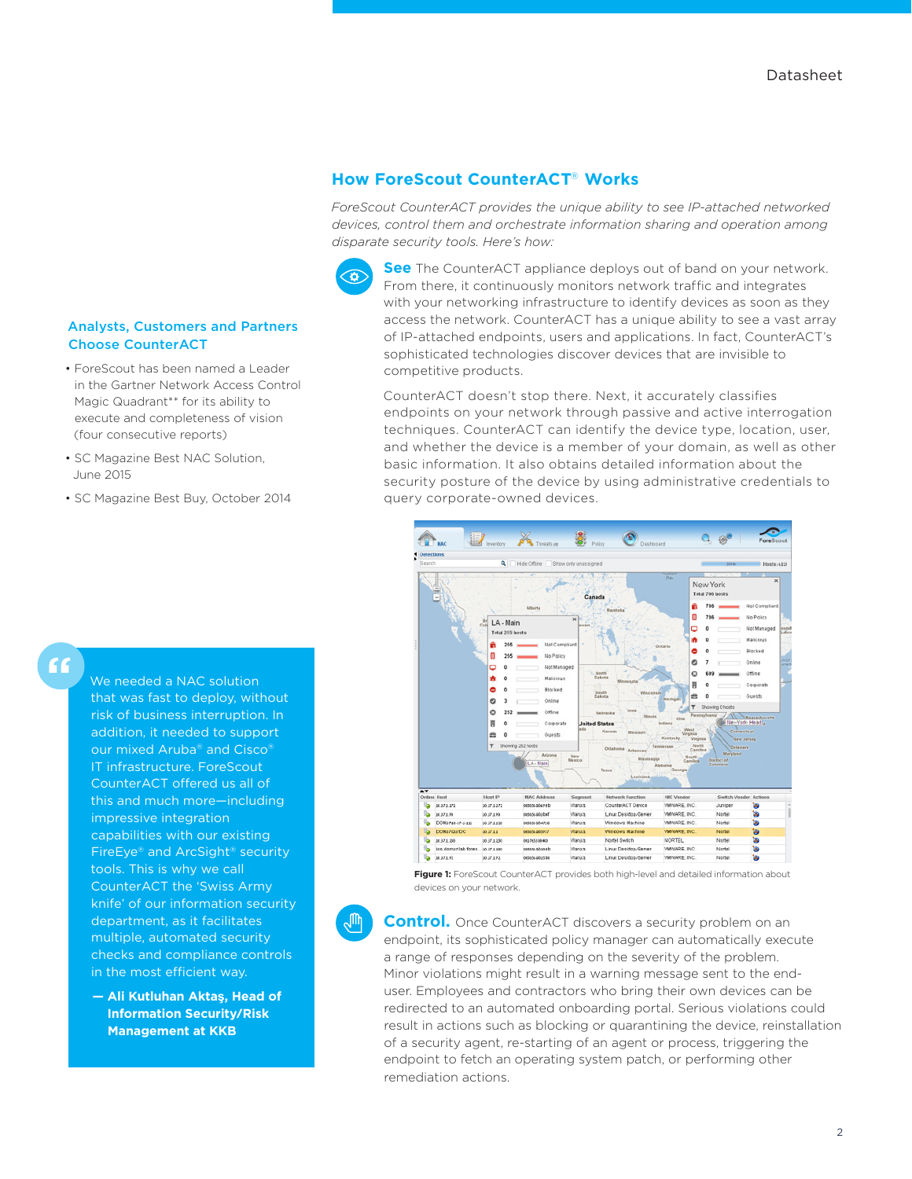## **How ForeScout CounterACT**® **Works**

*ForeScout CounterACT provides the unique ability to see IP-attached networked devices, control them and orchestrate information sharing and operation among disparate security tools. Here's how:*



**See** The CounterACT appliance deploys out of band on your network. From there, it continuously monitors network traffic and integrates with your networking infrastructure to identify devices as soon as they access the network. CounterACT has a unique ability to see a vast array of IP-attached endpoints, users and applications. In fact, CounterACT's sophisticated technologies discover devices that are invisible to competitive products.

CounterACT doesn't stop there. Next, it accurately classifies endpoints on your network through passive and active interrogation techniques. CounterACT can identify the device type, location, user, and whether the device is a member of your domain, as well as other basic information. It also obtains detailed information about the security posture of the device by using administrative credentials to query corporate-owned devices.



**Figure 1:** ForeScout CounterACT provides both high-level and detailed information about devices on your network.

**Control.** Once CounterACT discovers a security problem on an endpoint, its sophisticated policy manager can automatically execute a range of responses depending on the severity of the problem. Minor violations might result in a warning message sent to the enduser. Employees and contractors who bring their own devices can be redirected to an automated onboarding portal. Serious violations could result in actions such as blocking or quarantining the device, reinstallation of a security agent, re-starting of an agent or process, triggering the endpoint to fetch an operating system patch, or performing other remediation actions.

#### Analysts, Customers and Partners Choose CounterACT

- ForeScout has been named a Leader in the Gartner Network Access Control Magic Quadrant\*\* for its ability to execute and completeness of vision (four consecutive reports)
- SC Magazine Best NAC Solution, June 2015
- SC Magazine Best Buy, October 2014

# **"**

We needed a NAC solution that was fast to deploy, without risk of business interruption. In addition, it needed to support our mixed Aruba® and Cisco® IT infrastructure. ForeScout CounterACT offered us all of this and much more—including impressive integration capabilities with our existing FireEye® and ArcSight® security tools. This is why we call CounterACT the 'Swiss Army knife' of our information security department, as it facilitates multiple, automated security checks and compliance controls in the most efficient way.

**— Ali Kutluhan Aktaş, Head of Information Security/Risk Management at KKB**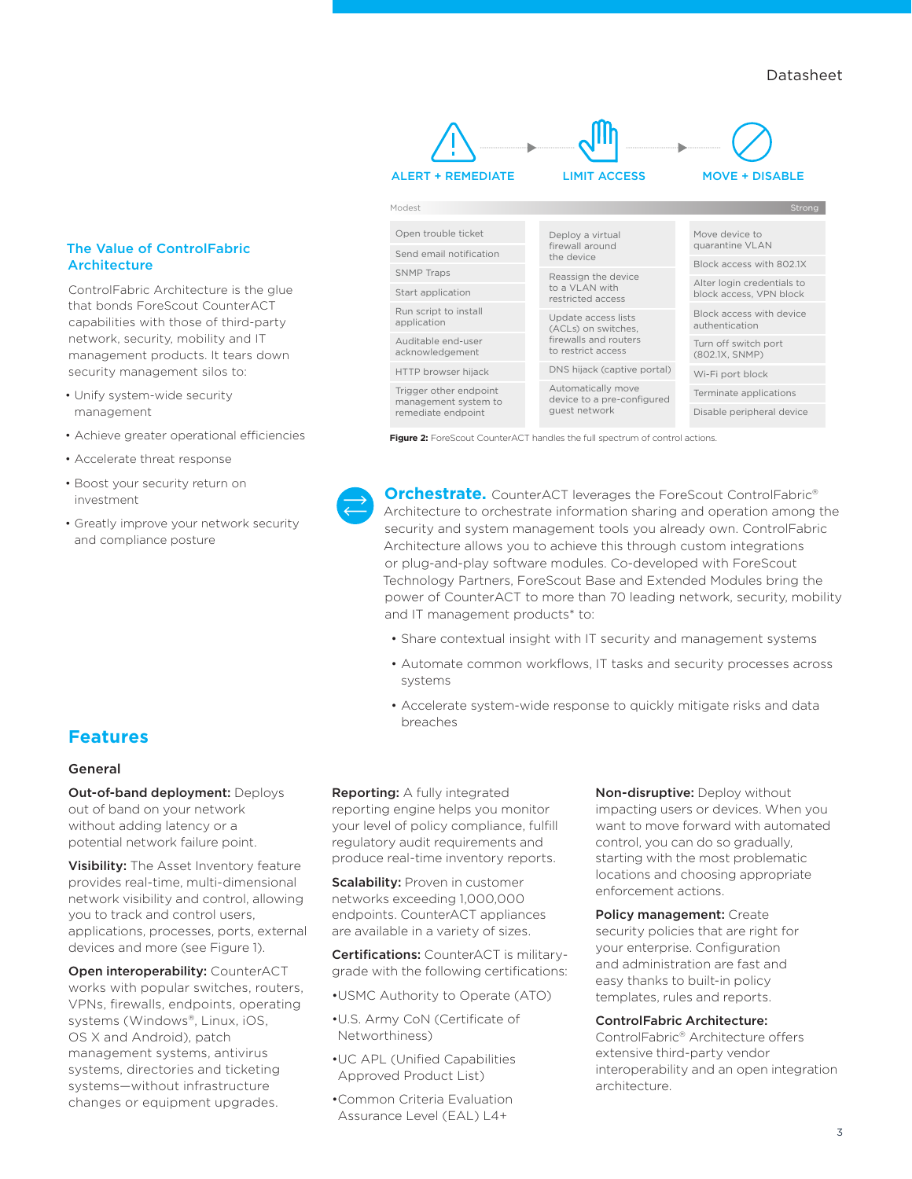#### The Value of ControlFabric **Architecture**

ControlFabric Architecture is the glue that bonds ForeScout CounterACT capabilities with those of third-party network, security, mobility and IT management products. It tears down security management silos to:

- Unify system-wide security management
- Achieve greater operational efficiencies
- Accelerate threat response
- Boost your security return on investment
- Greatly improve your network security and compliance posture



**Figure 2:** ForeScout CounterACT handles the full spectrum of control actions.

**Orchestrate.** CounterACT leverages the ForeScout ControlFabric<sup>®</sup> [Architecture](http://www.forescout.com/product/controlfabric-architecture/) to orchestrate information sharing and operation among the security and system management tools you already own. ControlFabric Architecture allows you to achieve this through custom integrations or plug-and-play software modules. Co-developed with ForeScout Technology Partners, ForeScout Base and Extended Modules bring the power of CounterACT to more than 70 leading network, security, mobility and IT management products<sup>\*</sup> to:

- Share contextual insight with IT security and management systems
- Automate common workflows, IT tasks and security processes across systems
- Accelerate system-wide response to quickly mitigate risks and data breaches

# **Features**

#### General

Out-of-band deployment: Deploys out of band on your network without adding latency or a potential network failure point.

Visibility: The Asset Inventory feature provides real-time, multi-dimensional network visibility and control, allowing you to track and control users, applications, processes, ports, external devices and more (see Figure 1).

Open interoperability: CounterACT works with popular switches, routers, VPNs, firewalls, endpoints, operating systems (Windows®, Linux, iOS, OS X and Android), patch management systems, antivirus systems, directories and ticketing systems—without infrastructure changes or equipment upgrades.

Reporting: A fully integrated reporting engine helps you monitor your level of policy compliance, fulfill regulatory audit requirements and produce real-time inventory reports.

**Scalability: Proven in customer** networks exceeding 1,000,000 endpoints. CounterACT appliances are available in a variety of sizes.

Certifications: CounterACT is militarygrade with the following certifications:

•USMC Authority to Operate (ATO)

- •U.S. Army CoN (Certificate of Networthiness)
- •UC APL (Unified Capabilities Approved Product List)
- •Common Criteria Evaluation Assurance Level (EAL) L4+

Non-disruptive: Deploy without impacting users or devices. When you want to move forward with automated control, you can do so gradually, starting with the most problematic locations and choosing appropriate enforcement actions.

Policy management: Create security policies that are right for your enterprise. Configuration and administration are fast and easy thanks to built-in policy templates, rules and reports.

#### ControlFabric Architecture:

[ControlFabric® Architecture](http://www.forescout.com/product/controlfabric-architecture/) offers extensive [third-party vendor](http://www.forescout.com/partner_programs/technology-partners/)  [interoperability](http://www.forescout.com/partner_programs/technology-partners/) and an open integration architecture.